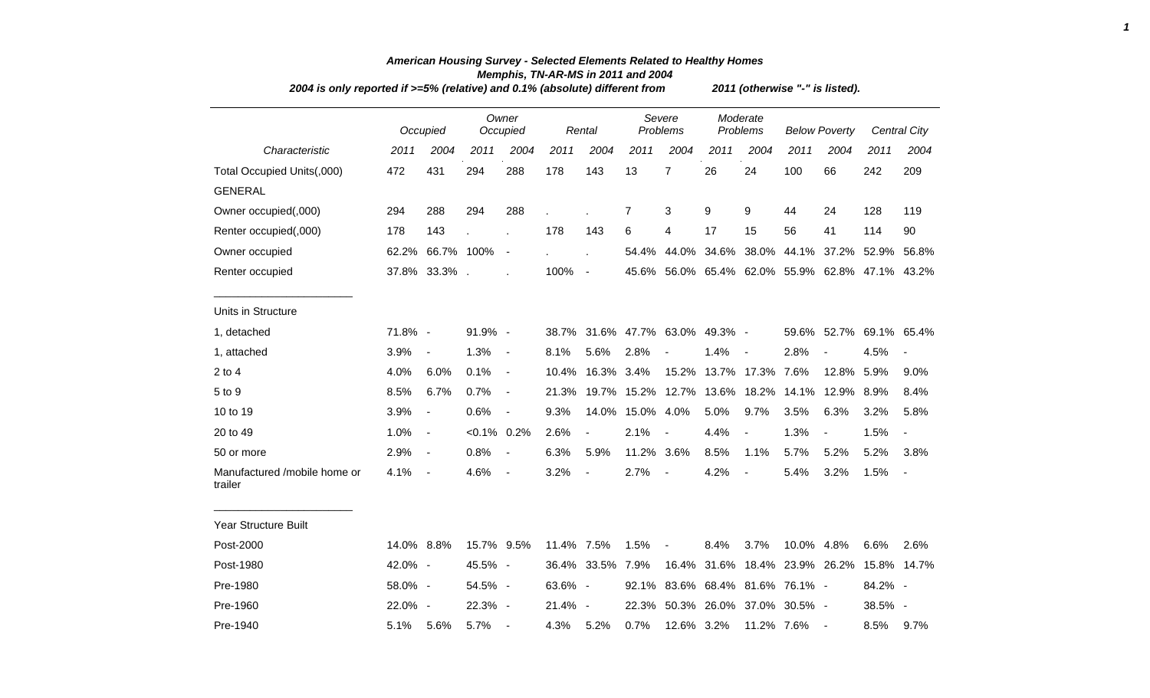| 2004 is only reported if >=5% (relative) and 0.1% (absolute) different from |            |                          |                |                          |            | 2011 (otherwise "-" is listed). |                  |                                                 |                        |                          |                           |                              |                                           |                          |
|-----------------------------------------------------------------------------|------------|--------------------------|----------------|--------------------------|------------|---------------------------------|------------------|-------------------------------------------------|------------------------|--------------------------|---------------------------|------------------------------|-------------------------------------------|--------------------------|
|                                                                             |            | Occupied                 |                | Owner<br>Occupied        |            | Rental                          |                  | Severe<br>Problems                              |                        | Moderate<br>Problems     | <b>Below Poverty</b>      |                              |                                           | <b>Central City</b>      |
| Characteristic                                                              | 2011       | 2004                     | 2011           | 2004                     | 2011       | 2004                            | 2011             | 2004                                            | 2011                   | 2004                     | 2011                      | 2004                         | 2011                                      | 2004                     |
| Total Occupied Units(,000)                                                  | 472        | 431                      | 294            | 288                      | 178        | 143                             | 13               | $\overline{7}$                                  | 26                     | 24                       | 100                       | 66                           | 242                                       | 209                      |
| <b>GENERAL</b>                                                              |            |                          |                |                          |            |                                 |                  |                                                 |                        |                          |                           |                              |                                           |                          |
| Owner occupied(,000)                                                        | 294        | 288                      | 294            | 288                      |            |                                 | 7                | 3                                               | 9                      | 9                        | 44                        | 24                           | 128                                       | 119                      |
| Renter occupied(,000)                                                       | 178        | 143                      |                |                          | 178        | 143                             | 6                | 4                                               | 17                     | 15                       | 56                        | 41                           | 114                                       | 90                       |
| Owner occupied                                                              | 62.2%      | 66.7% 100%               |                | $\blacksquare$           |            | ÷.                              | 54.4%            |                                                 |                        |                          |                           |                              | 44.0% 34.6% 38.0% 44.1% 37.2% 52.9%       | 56.8%                    |
| Renter occupied                                                             |            | 37.8% 33.3%.             |                |                          | 100%       | $\blacksquare$                  |                  | 45.6% 56.0% 65.4% 62.0% 55.9% 62.8% 47.1% 43.2% |                        |                          |                           |                              |                                           |                          |
| Units in Structure                                                          |            |                          |                |                          |            |                                 |                  |                                                 |                        |                          |                           |                              |                                           |                          |
| 1, detached                                                                 | 71.8% -    |                          | 91.9% -        |                          |            |                                 |                  | 38.7% 31.6% 47.7% 63.0% 49.3% -                 |                        |                          |                           |                              | 59.6% 52.7% 69.1% 65.4%                   |                          |
| 1, attached                                                                 | 3.9%       | $\overline{\phantom{a}}$ | 1.3%           | $\blacksquare$           | 8.1%       | 5.6%                            | 2.8%             | $\blacksquare$                                  | 1.4%                   | $\overline{\phantom{a}}$ | 2.8%                      | $\qquad \qquad \blacksquare$ | 4.5%                                      | $\overline{\phantom{a}}$ |
| $2$ to $4$                                                                  | 4.0%       | 6.0%                     | 0.1%           | $\blacksquare$           | 10.4%      | 16.3% 3.4%                      |                  |                                                 | 15.2% 13.7% 17.3% 7.6% |                          |                           | 12.8%                        | 5.9%                                      | 9.0%                     |
| 5 to 9                                                                      | 8.5%       | 6.7%                     | 0.7%           | $\overline{\phantom{a}}$ | 21.3%      |                                 |                  | 19.7% 15.2% 12.7% 13.6% 18.2%                   |                        |                          | 14.1%                     | 12.9%                        | 8.9%                                      | 8.4%                     |
| 10 to 19                                                                    | 3.9%       | $\blacksquare$           | 0.6%           | $\blacksquare$           | 9.3%       |                                 | 14.0% 15.0% 4.0% |                                                 | 5.0%                   | 9.7%                     | 3.5%                      | 6.3%                         | 3.2%                                      | 5.8%                     |
| 20 to 49                                                                    | 1.0%       | $\overline{\phantom{a}}$ | $< 0.1\%$ 0.2% |                          | 2.6%       | $\overline{\phantom{a}}$        | 2.1%             |                                                 | 4.4%                   |                          | 1.3%                      | $\overline{\phantom{a}}$     | 1.5%                                      | $\overline{\phantom{a}}$ |
| 50 or more                                                                  | 2.9%       | $\overline{\phantom{a}}$ | 0.8%           | $\overline{\phantom{a}}$ | 6.3%       | 5.9%                            | 11.2% 3.6%       |                                                 | 8.5%                   | 1.1%                     | 5.7%                      | 5.2%                         | 5.2%                                      | 3.8%                     |
| Manufactured /mobile home or<br>trailer                                     | 4.1%       | $\sim$                   | 4.6%           | $\overline{\phantom{a}}$ | 3.2%       | $\blacksquare$                  | 2.7%             | $\overline{\phantom{a}}$                        | 4.2%                   | $\overline{\phantom{a}}$ | 5.4%                      | 3.2%                         | 1.5%                                      | $\blacksquare$           |
| Year Structure Built                                                        |            |                          |                |                          |            |                                 |                  |                                                 |                        |                          |                           |                              |                                           |                          |
| Post-2000                                                                   | 14.0% 8.8% |                          | 15.7% 9.5%     |                          | 11.4% 7.5% |                                 | 1.5%             | $\overline{\phantom{a}}$                        | 8.4%                   | 3.7%                     | 10.0% 4.8%                |                              | 6.6%                                      | 2.6%                     |
| Post-1980                                                                   | 42.0% -    |                          | 45.5% -        |                          |            | 36.4% 33.5% 7.9%                |                  |                                                 |                        |                          |                           |                              | 16.4% 31.6% 18.4% 23.9% 26.2% 15.8% 14.7% |                          |
| Pre-1980                                                                    | 58.0% -    |                          | 54.5% -        |                          | 63.6% -    |                                 | 92.1%            |                                                 |                        |                          | 83.6% 68.4% 81.6% 76.1% - |                              | 84.2% -                                   |                          |
| Pre-1960                                                                    | 22.0% -    |                          | 22.3% -        |                          | 21.4% -    |                                 |                  | 22.3% 50.3% 26.0% 37.0% 30.5% -                 |                        |                          |                           |                              | 38.5% -                                   |                          |
| Pre-1940                                                                    | 5.1%       | 5.6%                     | 5.7%           | $\overline{\phantom{a}}$ | 4.3%       | 5.2%                            | 0.7%             | 12.6% 3.2%                                      |                        | 11.2% 7.6%               |                           | $\overline{\phantom{a}}$     | 8.5%                                      | 9.7%                     |

## *American Housing Survey - Selected Elements Related to Healthy Homes Memphis, TN-AR-MS in 2011 and 2004*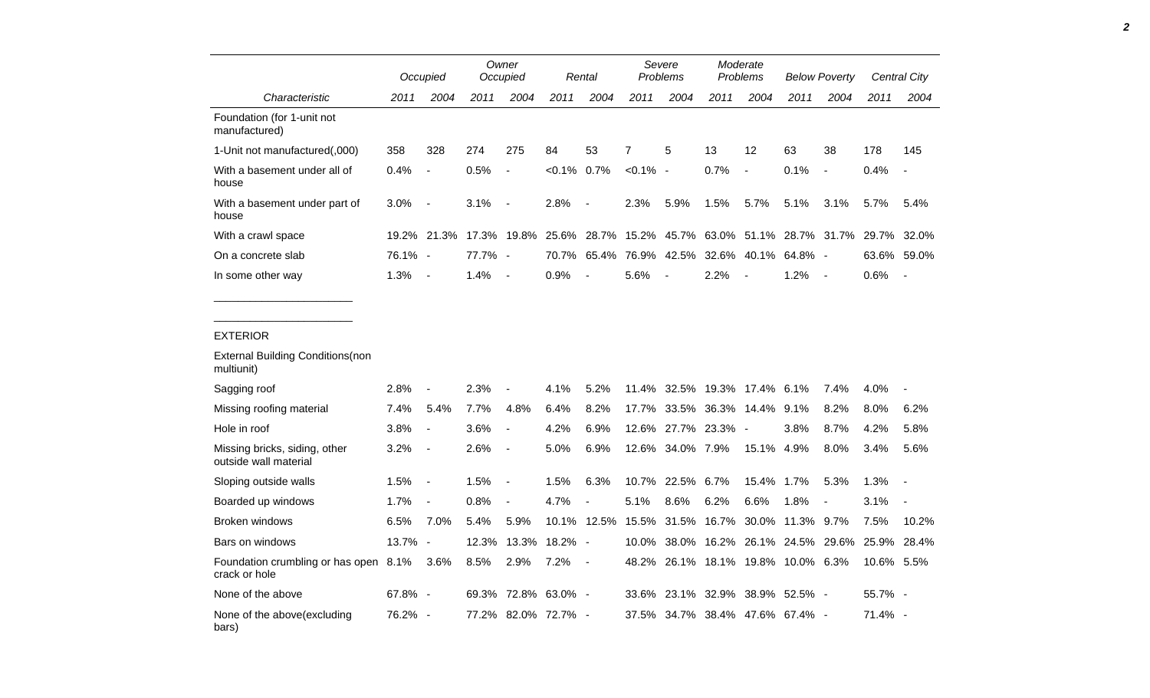|                                                        |         | Occupied                 | Owner<br>Occupied |                          |                     | Rental                                                      |                | Severe<br>Problems  |             | Moderate<br><b>Problems</b> |                                     | <b>Below Poverty</b>     |            | Central City             |
|--------------------------------------------------------|---------|--------------------------|-------------------|--------------------------|---------------------|-------------------------------------------------------------|----------------|---------------------|-------------|-----------------------------|-------------------------------------|--------------------------|------------|--------------------------|
| Characteristic                                         | 2011    | 2004                     | 2011              | 2004                     | 2011                | 2004                                                        | 2011           | 2004                | 2011        | 2004                        | 2011                                | 2004                     | 2011       | 2004                     |
| Foundation (for 1-unit not<br>manufactured)            |         |                          |                   |                          |                     |                                                             |                |                     |             |                             |                                     |                          |            |                          |
| 1-Unit not manufactured(,000)                          | 358     | 328                      | 274               | 275                      | 84                  | 53                                                          | $\overline{7}$ | 5                   | 13          | 12                          | 63                                  | 38                       | 178        | 145                      |
| With a basement under all of<br>house                  | 0.4%    | $\overline{a}$           | 0.5%              | $\overline{a}$           | $< 0.1\%$ 0.7%      |                                                             | $< 0.1\%$ -    |                     | 0.7%        | $\overline{a}$              | 0.1%                                | $\overline{a}$           | 0.4%       | $\blacksquare$           |
| With a basement under part of<br>house                 | 3.0%    | $\overline{a}$           | 3.1%              | $\overline{a}$           | 2.8%                |                                                             | 2.3%           | 5.9%                | 1.5%        | 5.7%                        | 5.1%                                | 3.1%                     | 5.7%       | 5.4%                     |
| With a crawl space                                     |         | 19.2% 21.3%              | 17.3% 19.8%       |                          |                     | 25.6% 28.7% 15.2% 45.7% 63.0% 51.1% 28.7% 31.7% 29.7% 32.0% |                |                     |             |                             |                                     |                          |            |                          |
| On a concrete slab                                     | 76.1% - |                          | 77.7% -           |                          | 70.7%               |                                                             | 65.4% 76.9%    |                     | 42.5% 32.6% | 40.1%                       | 64.8% -                             |                          | 63.6%      | 59.0%                    |
| In some other way                                      | 1.3%    | $\blacksquare$           | 1.4%              | $\overline{a}$           | 0.9%                |                                                             | 5.6%           |                     | 2.2%        |                             | 1.2%                                | $\overline{\phantom{a}}$ | 0.6%       | $\overline{\phantom{a}}$ |
| <b>EXTERIOR</b>                                        |         |                          |                   |                          |                     |                                                             |                |                     |             |                             |                                     |                          |            |                          |
| <b>External Building Conditions(non</b><br>multiunit)  |         |                          |                   |                          |                     |                                                             |                |                     |             |                             |                                     |                          |            |                          |
| Sagging roof                                           | 2.8%    | L.                       | 2.3%              |                          | 4.1%                | 5.2%                                                        | 11.4%          | 32.5%               | 19.3%       | 17.4% 6.1%                  |                                     | 7.4%                     | 4.0%       |                          |
| Missing roofing material                               | 7.4%    | 5.4%                     | 7.7%              | 4.8%                     | 6.4%                | 8.2%                                                        | 17.7%          |                     | 33.5% 36.3% | 14.4% 9.1%                  |                                     | 8.2%                     | 8.0%       | 6.2%                     |
| Hole in roof                                           | 3.8%    | $\overline{a}$           | 3.6%              | $\overline{a}$           | 4.2%                | 6.9%                                                        |                | 12.6% 27.7% 23.3% - |             |                             | 3.8%                                | 8.7%                     | 4.2%       | 5.8%                     |
| Missing bricks, siding, other<br>outside wall material | 3.2%    | $\overline{\phantom{a}}$ | 2.6%              | $\overline{\phantom{a}}$ | 5.0%                | 6.9%                                                        |                | 12.6% 34.0% 7.9%    |             | 15.1% 4.9%                  |                                     | 8.0%                     | 3.4%       | 5.6%                     |
| Sloping outside walls                                  | 1.5%    | $\overline{\phantom{a}}$ | 1.5%              | $\overline{a}$           | 1.5%                | 6.3%                                                        | 10.7%          | 22.5%               | 6.7%        | 15.4%                       | 1.7%                                | 5.3%                     | 1.3%       | $\overline{a}$           |
| Boarded up windows                                     | 1.7%    | Ē,                       | 0.8%              | $\overline{\phantom{a}}$ | 4.7%                |                                                             | 5.1%           | 8.6%                | 6.2%        | 6.6%                        | 1.8%                                |                          | 3.1%       |                          |
| <b>Broken windows</b>                                  | 6.5%    | 7.0%                     | 5.4%              | 5.9%                     | 10.1%               | 12.5%                                                       | 15.5%          | 31.5%               | 16.7%       | 30.0%                       | 11.3% 9.7%                          |                          | 7.5%       | 10.2%                    |
| Bars on windows                                        | 13.7% - |                          | 12.3%             | 13.3%                    | 18.2% -             |                                                             | 10.0%          |                     |             |                             | 38.0% 16.2% 26.1% 24.5% 29.6% 25.9% |                          |            | 28.4%                    |
| Foundation crumbling or has open 8.1%<br>crack or hole |         | 3.6%                     | 8.5%              | 2.9%                     | 7.2%                | $\overline{\phantom{a}}$                                    |                |                     |             |                             | 48.2% 26.1% 18.1% 19.8% 10.0% 6.3%  |                          | 10.6% 5.5% |                          |
| None of the above                                      | 67.8% - |                          | 69.3%             |                          | 72.8% 63.0%         | $\overline{\phantom{a}}$                                    |                |                     |             |                             | 33.6% 23.1% 32.9% 38.9% 52.5% -     |                          | 55.7% -    |                          |
| None of the above(excluding<br>bars)                   | 76.2% - |                          |                   |                          | 77.2% 82.0% 72.7% - |                                                             |                |                     |             |                             | 37.5% 34.7% 38.4% 47.6% 67.4% -     |                          | $71.4\%$ - |                          |

*2*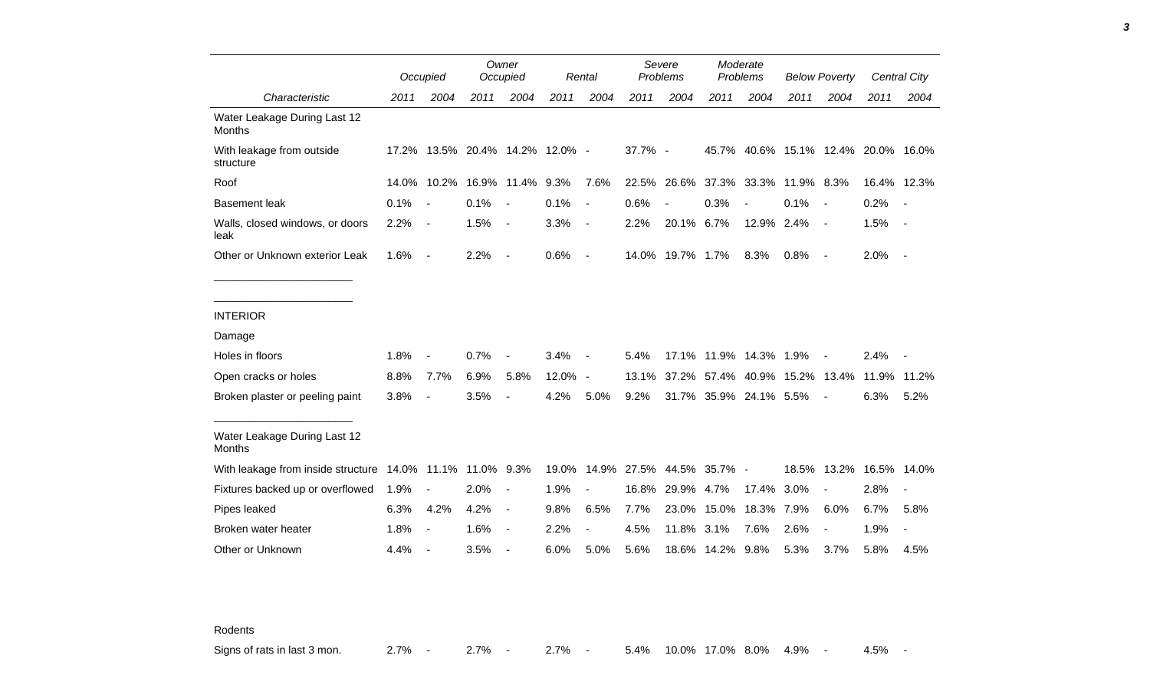|                                                           |       | Occupied                 |                                 | Owner<br>Occupied        |         | Rental                   |         | Severe<br>Problems       |                           | Moderate<br>Problems |                               | <b>Below Poverty</b> |                                     | <b>Central City</b> |
|-----------------------------------------------------------|-------|--------------------------|---------------------------------|--------------------------|---------|--------------------------|---------|--------------------------|---------------------------|----------------------|-------------------------------|----------------------|-------------------------------------|---------------------|
| Characteristic                                            | 2011  | 2004                     | 2011                            | 2004                     | 2011    | 2004                     | 2011    | 2004                     | 2011                      | 2004                 | 2011                          | 2004                 | 2011                                | 2004                |
| Water Leakage During Last 12<br>Months                    |       |                          |                                 |                          |         |                          |         |                          |                           |                      |                               |                      |                                     |                     |
| With leakage from outside<br>structure                    |       |                          | 17.2% 13.5% 20.4% 14.2% 12.0% - |                          |         |                          | 37.7% - |                          |                           |                      |                               |                      | 45.7% 40.6% 15.1% 12.4% 20.0% 16.0% |                     |
| Roof                                                      | 14.0% | 10.2%                    |                                 | 16.9% 11.4%              | 9.3%    | 7.6%                     | 22.5%   | 26.6%                    | 37.3%                     | 33.3%                | 11.9% 8.3%                    |                      | 16.4% 12.3%                         |                     |
| <b>Basement leak</b>                                      | 0.1%  | $\sim$                   | 0.1%                            | $\blacksquare$           | 0.1%    | $\blacksquare$           | 0.6%    | $\overline{\phantom{a}}$ | 0.3%                      | $\blacksquare$       | 0.1%                          | $\blacksquare$       | 0.2%                                | $\sim$              |
| Walls, closed windows, or doors<br>leak                   | 2.2%  | $\sim$                   | 1.5%                            | $\overline{\phantom{a}}$ | 3.3%    | $\overline{\phantom{a}}$ | 2.2%    | 20.1% 6.7%               |                           | 12.9% 2.4%           |                               | $\sim$ $-$           | 1.5%                                | $\sim$ $-$          |
| Other or Unknown exterior Leak                            | 1.6%  | $\sim$                   | 2.2%                            | $\blacksquare$           | 0.6%    | $\overline{\phantom{a}}$ |         | 14.0% 19.7% 1.7%         |                           | 8.3%                 | 0.8%                          | $\sim$               | 2.0%                                | $\sim$              |
| <b>INTERIOR</b>                                           |       |                          |                                 |                          |         |                          |         |                          |                           |                      |                               |                      |                                     |                     |
| Damage                                                    |       |                          |                                 |                          |         |                          |         |                          |                           |                      |                               |                      |                                     |                     |
| Holes in floors                                           | 1.8%  | $\blacksquare$           | 0.7%                            | $\overline{\phantom{a}}$ | 3.4%    | $\overline{\phantom{a}}$ | 5.4%    |                          | 17.1% 11.9% 14.3% 1.9%    |                      |                               |                      | 2.4%                                |                     |
| Open cracks or holes                                      | 8.8%  | 7.7%                     | 6.9%                            | 5.8%                     | 12.0% - |                          | 13.1%   |                          |                           |                      | 37.2% 57.4% 40.9% 15.2% 13.4% |                      | 11.9% 11.2%                         |                     |
| Broken plaster or peeling paint                           | 3.8%  | $\blacksquare$           | 3.5%                            | $\blacksquare$           | 4.2%    | 5.0%                     | 9.2%    |                          | 31.7% 35.9% 24.1% 5.5%    |                      |                               |                      | 6.3%                                | 5.2%                |
| Water Leakage During Last 12<br>Months                    |       |                          |                                 |                          |         |                          |         |                          |                           |                      |                               |                      |                                     |                     |
| With leakage from inside structure 14.0% 11.1% 11.0% 9.3% |       |                          |                                 |                          | 19.0%   |                          |         |                          | 14.9% 27.5% 44.5% 35.7% - |                      |                               |                      | 18.5% 13.2% 16.5% 14.0%             |                     |
| Fixtures backed up or overflowed                          | 1.9%  | $\blacksquare$           | 2.0%                            | $\overline{\phantom{a}}$ | 1.9%    | $\overline{\phantom{a}}$ | 16.8%   | 29.9% 4.7%               |                           | 17.4%                | 3.0%                          |                      | 2.8%                                |                     |
| Pipes leaked                                              | 6.3%  | 4.2%                     | 4.2%                            | $\blacksquare$           | 9.8%    | 6.5%                     | 7.7%    | 23.0%                    | 15.0%                     | 18.3%                | 7.9%                          | 6.0%                 | 6.7%                                | 5.8%                |
| Broken water heater                                       | 1.8%  | $\overline{\phantom{a}}$ | 1.6%                            | $\blacksquare$           | 2.2%    |                          | 4.5%    | 11.8%                    | 3.1%                      | 7.6%                 | 2.6%                          |                      | 1.9%                                |                     |
| Other or Unknown                                          | 4.4%  | $\blacksquare$           | 3.5%                            |                          | 6.0%    | 5.0%                     | 5.6%    | 18.6%                    | 14.2% 9.8%                |                      | 5.3%                          | 3.7%                 | 5.8%                                | 4.5%                |

Rodents

Signs of rats in last 3 mon. 2.7% - 2.7% - 2.7% - 5.4% 10.0% 17.0% 8.0% 4.9% - 4.5% -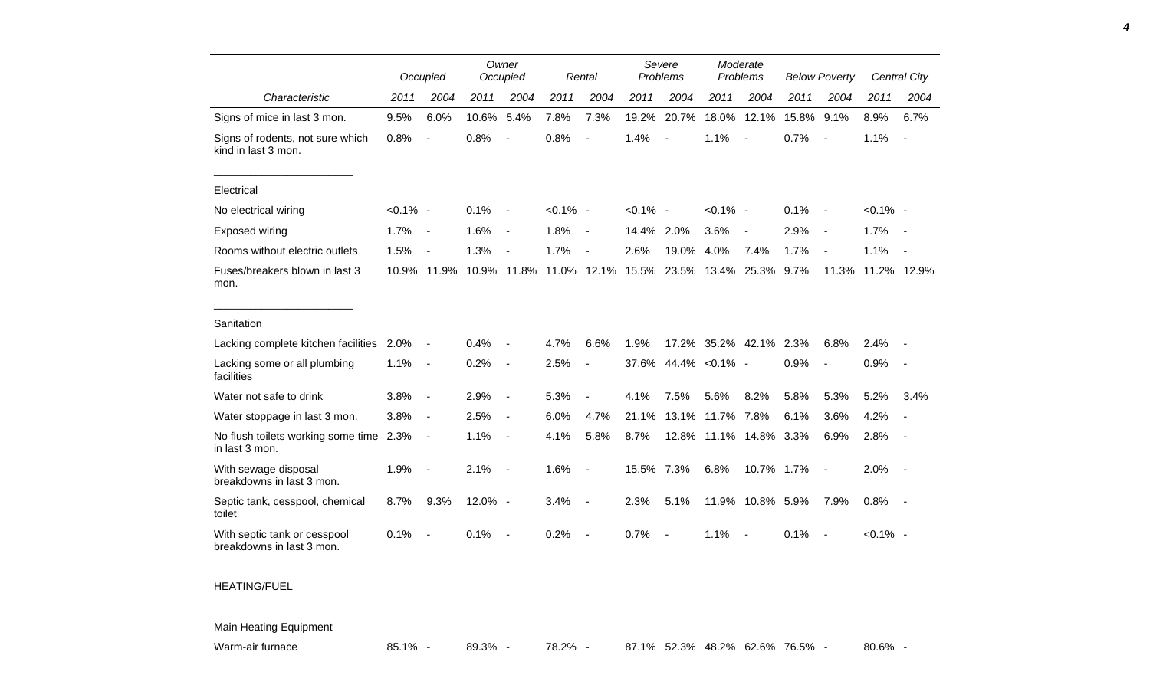|                                                           |             | Occupied                     |         | Owner<br>Occupied        |             | Rental                   |             | Severe<br>Problems       |                        | Moderate<br>Problems     |       | <b>Below Poverty</b>     |             | <b>Central City</b>      |
|-----------------------------------------------------------|-------------|------------------------------|---------|--------------------------|-------------|--------------------------|-------------|--------------------------|------------------------|--------------------------|-------|--------------------------|-------------|--------------------------|
| Characteristic                                            | 2011        | 2004                         | 2011    | 2004                     | 2011        | 2004                     | 2011        | 2004                     | 2011                   | 2004                     | 2011  | 2004                     | 2011        | 2004                     |
| Signs of mice in last 3 mon.                              | 9.5%        | 6.0%                         | 10.6%   | 5.4%                     | 7.8%        | 7.3%                     | 19.2%       | 20.7%                    | 18.0%                  | 12.1%                    | 15.8% | 9.1%                     | 8.9%        | 6.7%                     |
| Signs of rodents, not sure which<br>kind in last 3 mon.   | 0.8%        | $\overline{a}$               | 0.8%    | $\overline{a}$           | 0.8%        | $\overline{a}$           | 1.4%        |                          | 1.1%                   | $\overline{\phantom{a}}$ | 0.7%  | $\blacksquare$           | 1.1%        | $\overline{\phantom{a}}$ |
| Electrical                                                |             |                              |         |                          |             |                          |             |                          |                        |                          |       |                          |             |                          |
| No electrical wiring                                      | $< 0.1\%$ - |                              | 0.1%    | $\overline{\phantom{a}}$ | $< 0.1\%$ - |                          | $< 0.1\%$ - |                          | $< 0.1\%$ -            |                          | 0.1%  | $\sim$                   | $< 0.1\%$ - |                          |
| Exposed wiring                                            | 1.7%        | $\overline{\phantom{a}}$     | 1.6%    | $\overline{\phantom{a}}$ | 1.8%        | $\blacksquare$           | 14.4% 2.0%  |                          | 3.6%                   | $\blacksquare$           | 2.9%  | $\overline{\phantom{a}}$ | 1.7%        |                          |
| Rooms without electric outlets                            | 1.5%        | $\overline{\phantom{a}}$     | 1.3%    | $\overline{a}$           | 1.7%        | $\blacksquare$           | 2.6%        | 19.0%                    | 4.0%                   | 7.4%                     | 1.7%  | $\blacksquare$           | 1.1%        |                          |
| Fuses/breakers blown in last 3<br>mon.                    |             | 10.9% 11.9%                  |         | 10.9% 11.8%              |             | 11.0% 12.1%              | 15.5%       |                          | 23.5% 13.4% 25.3% 9.7% |                          |       | 11.3%                    | 11.2% 12.9% |                          |
| Sanitation                                                |             |                              |         |                          |             |                          |             |                          |                        |                          |       |                          |             |                          |
| Lacking complete kitchen facilities                       | 2.0%        | $\overline{\phantom{a}}$     | 0.4%    |                          | 4.7%        | 6.6%                     | 1.9%        |                          | 17.2% 35.2% 42.1% 2.3% |                          |       | 6.8%                     | 2.4%        |                          |
| Lacking some or all plumbing<br>facilities                | 1.1%        | $\overline{\phantom{a}}$     | 0.2%    | $\overline{\phantom{a}}$ | 2.5%        | $\blacksquare$           | 37.6%       |                          | 44.4% < 0.1% -         |                          | 0.9%  | $\blacksquare$           | 0.9%        |                          |
| Water not safe to drink                                   | 3.8%        | $\overline{\phantom{a}}$     | 2.9%    | $\overline{\phantom{a}}$ | 5.3%        | $\overline{a}$           | 4.1%        | 7.5%                     | 5.6%                   | 8.2%                     | 5.8%  | 5.3%                     | 5.2%        | 3.4%                     |
| Water stoppage in last 3 mon.                             | 3.8%        | $\blacksquare$               | 2.5%    | $\blacksquare$           | 6.0%        | 4.7%                     | 21.1%       |                          | 13.1% 11.7% 7.8%       |                          | 6.1%  | 3.6%                     | 4.2%        |                          |
| No flush toilets working some time 2.3%<br>in last 3 mon. |             | $\qquad \qquad \blacksquare$ | 1.1%    | $\blacksquare$           | 4.1%        | 5.8%                     | 8.7%        |                          | 12.8% 11.1% 14.8% 3.3% |                          |       | 6.9%                     | 2.8%        |                          |
| With sewage disposal<br>breakdowns in last 3 mon.         | 1.9%        | $\overline{\phantom{a}}$     | 2.1%    | $\overline{\phantom{a}}$ | 1.6%        | $\overline{\phantom{a}}$ | 15.5%       | 7.3%                     | 6.8%                   | 10.7% 1.7%               |       | $\overline{\phantom{a}}$ | 2.0%        | $\sim$                   |
| Septic tank, cesspool, chemical<br>toilet                 | 8.7%        | 9.3%                         | 12.0% - |                          | 3.4%        | $\overline{\phantom{a}}$ | 2.3%        | 5.1%                     | 11.9%                  | 10.8% 5.9%               |       | 7.9%                     | 0.8%        | $\sim$                   |
| With septic tank or cesspool<br>breakdowns in last 3 mon. | 0.1%        | $\overline{a}$               | 0.1%    | $\overline{\phantom{a}}$ | 0.2%        | $\overline{\phantom{a}}$ | 0.7%        | $\overline{\phantom{a}}$ | 1.1%                   | $\sim$                   | 0.1%  | $\sim$                   | $< 0.1\%$ - |                          |
| <b>HEATING/FUEL</b>                                       |             |                              |         |                          |             |                          |             |                          |                        |                          |       |                          |             |                          |

Main Heating Equipment

Warm-air furnace **85.1% - 89.3% - 78.2% - 87.1% 52.3% 48.2% 62.6% 76.5% -** 80.6% -

*4*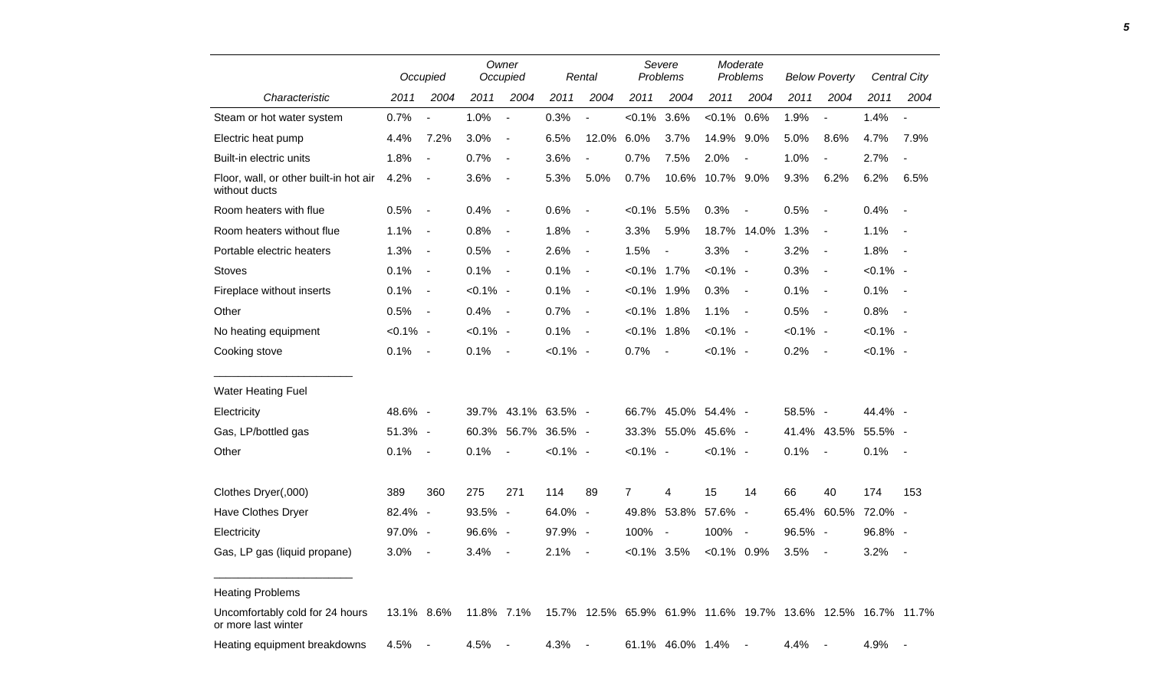|                                                         |             | Occupied                 |             | Owner<br>Occupied        |               | Rental                   |                | Severe<br>Problems       |                                                             | Moderate<br>Problems |             | <b>Below Poverty</b>     |             | <b>Central City</b> |
|---------------------------------------------------------|-------------|--------------------------|-------------|--------------------------|---------------|--------------------------|----------------|--------------------------|-------------------------------------------------------------|----------------------|-------------|--------------------------|-------------|---------------------|
| Characteristic                                          | 2011        | 2004                     | 2011        | 2004                     | 2011          | 2004                     | 2011           | 2004                     | 2011                                                        | 2004                 | 2011        | 2004                     | 2011        | 2004                |
| Steam or hot water system                               | 0.7%        | $\overline{a}$           | 1.0%        | $\overline{\phantom{a}}$ | 0.3%          | $\overline{\phantom{a}}$ | $< 0.1\%$      | 3.6%                     | $< 0.1\%$                                                   | 0.6%                 | 1.9%        | $\overline{\phantom{a}}$ | 1.4%        |                     |
| Electric heat pump                                      | 4.4%        | 7.2%                     | 3.0%        | $\blacksquare$           | 6.5%          | 12.0%                    | 6.0%           | 3.7%                     | 14.9%                                                       | 9.0%                 | 5.0%        | 8.6%                     | 4.7%        | 7.9%                |
| Built-in electric units                                 | 1.8%        | $\blacksquare$           | 0.7%        | $\overline{\phantom{a}}$ | 3.6%          | $\blacksquare$           | 0.7%           | 7.5%                     | 2.0%                                                        | $\blacksquare$       | 1.0%        |                          | 2.7%        | $\blacksquare$      |
| Floor, wall, or other built-in hot air<br>without ducts | 4.2%        | $\blacksquare$           | 3.6%        | $\blacksquare$           | 5.3%          | 5.0%                     | 0.7%           | 10.6%                    | 10.7% 9.0%                                                  |                      | 9.3%        | 6.2%                     | 6.2%        | 6.5%                |
| Room heaters with flue                                  | 0.5%        | $\overline{\phantom{a}}$ | 0.4%        | $\blacksquare$           | 0.6%          | $\overline{\phantom{a}}$ | $< 0.1\%$ 5.5% |                          | 0.3%                                                        | $\blacksquare$       | 0.5%        | $\sim$                   | 0.4%        | $\sim$              |
| Room heaters without flue                               | 1.1%        | $\blacksquare$           | 0.8%        | $\overline{\phantom{a}}$ | 1.8%          | $\blacksquare$           | 3.3%           | 5.9%                     |                                                             | 18.7% 14.0%          | 1.3%        | $\sim$                   | 1.1%        | $\sim$ $-$          |
| Portable electric heaters                               | 1.3%        | $\blacksquare$           | 0.5%        | $\overline{\phantom{a}}$ | 2.6%          | $\blacksquare$           | 1.5%           | $\blacksquare$           | 3.3%                                                        | $\sim$               | 3.2%        | $\sim$                   | 1.8%        | $\sim$ $-$          |
| <b>Stoves</b>                                           | 0.1%        | $\blacksquare$           | 0.1%        | $\overline{\phantom{a}}$ | 0.1%          | $\blacksquare$           | $< 0.1\%$ 1.7% |                          | $< 0.1\%$ -                                                 |                      | 0.3%        | $\sim$                   | $< 0.1\%$ - |                     |
| Fireplace without inserts                               | 0.1%        | $\blacksquare$           | $< 0.1\%$ - |                          | 0.1%          | $\blacksquare$           | $< 0.1\%$ 1.9% |                          | 0.3%                                                        | $\sim$               | 0.1%        | $\sim$                   | 0.1%        | $\sim$ $-$          |
| Other                                                   | 0.5%        | $\blacksquare$           | 0.4%        | $\overline{\phantom{a}}$ | 0.7%          | $\blacksquare$           | $< 0.1\%$ 1.8% |                          | 1.1%                                                        | $\sim$               | 0.5%        | $\sim$                   | 0.8%        | $\sim$              |
| No heating equipment                                    | $< 0.1\%$ - |                          | $< 0.1\%$ - |                          | 0.1%          | $\overline{\phantom{a}}$ | $< 0.1\%$ 1.8% |                          | $< 0.1\%$ -                                                 |                      | $< 0.1\%$ - |                          | $< 0.1\%$ - |                     |
| Cooking stove                                           | 0.1%        | $\overline{\phantom{a}}$ | 0.1%        | $\blacksquare$           | $< 0.1\%$ -   |                          | 0.7%           | $\overline{\phantom{a}}$ | $< 0.1\%$ -                                                 |                      | 0.2%        | $\sim$                   | $< 0.1\%$ - |                     |
| <b>Water Heating Fuel</b>                               |             |                          |             |                          |               |                          |                |                          |                                                             |                      |             |                          |             |                     |
| Electricity                                             | 48.6% -     |                          | 39.7%       |                          | 43.1% 63.5% - |                          | 66.7%          |                          | 45.0% 54.4% -                                               |                      | 58.5% -     |                          | 44.4% -     |                     |
| Gas, LP/bottled gas                                     | 51.3% -     |                          | 60.3%       | 56.7%                    | 36.5% -       |                          |                | 33.3% 55.0%              | 45.6% -                                                     |                      |             | 41.4% 43.5%              | 55.5% -     |                     |
| Other                                                   | 0.1%        | $\blacksquare$           | 0.1%        | $\overline{\phantom{a}}$ | $< 0.1\%$ -   |                          | $< 0.1\%$ -    |                          | $< 0.1\%$ -                                                 |                      | 0.1%        | $\sim$                   | 0.1%        | $\sim$              |
| Clothes Dryer(,000)                                     | 389         | 360                      | 275         | 271                      | 114           | 89                       | $\overline{7}$ | 4                        | 15                                                          | 14                   | 66          | 40                       | 174         | 153                 |
| Have Clothes Dryer                                      | 82.4% -     |                          | 93.5% -     |                          | 64.0% -       |                          | 49.8%          | 53.8%                    | 57.6% -                                                     |                      | 65.4%       | 60.5%                    | 72.0% -     |                     |
| Electricity                                             | 97.0% -     |                          | 96.6% -     |                          | 97.9% -       |                          | 100%           | $\overline{\phantom{a}}$ | 100%                                                        | $\sim$ $-$           | 96.5% -     |                          | 96.8% -     |                     |
| Gas, LP gas (liquid propane)                            | 3.0%        | $\overline{\phantom{a}}$ | 3.4%        | $\blacksquare$           | 2.1%          | $\blacksquare$           | $< 0.1\%$ 3.5% |                          | $< 0.1\%$ 0.9%                                              |                      | 3.5%        | $\blacksquare$           | 3.2%        | $\blacksquare$      |
| <b>Heating Problems</b>                                 |             |                          |             |                          |               |                          |                |                          |                                                             |                      |             |                          |             |                     |
| Uncomfortably cold for 24 hours<br>or more last winter  | 13.1% 8.6%  |                          | 11.8% 7.1%  |                          |               |                          |                |                          | 15.7% 12.5% 65.9% 61.9% 11.6% 19.7% 13.6% 12.5% 16.7% 11.7% |                      |             |                          |             |                     |
| Heating equipment breakdowns                            | 4.5%        |                          | 4.5%        |                          | 4.3%          |                          |                | 61.1% 46.0% 1.4%         |                                                             |                      | 4.4%        |                          | 4.9%        |                     |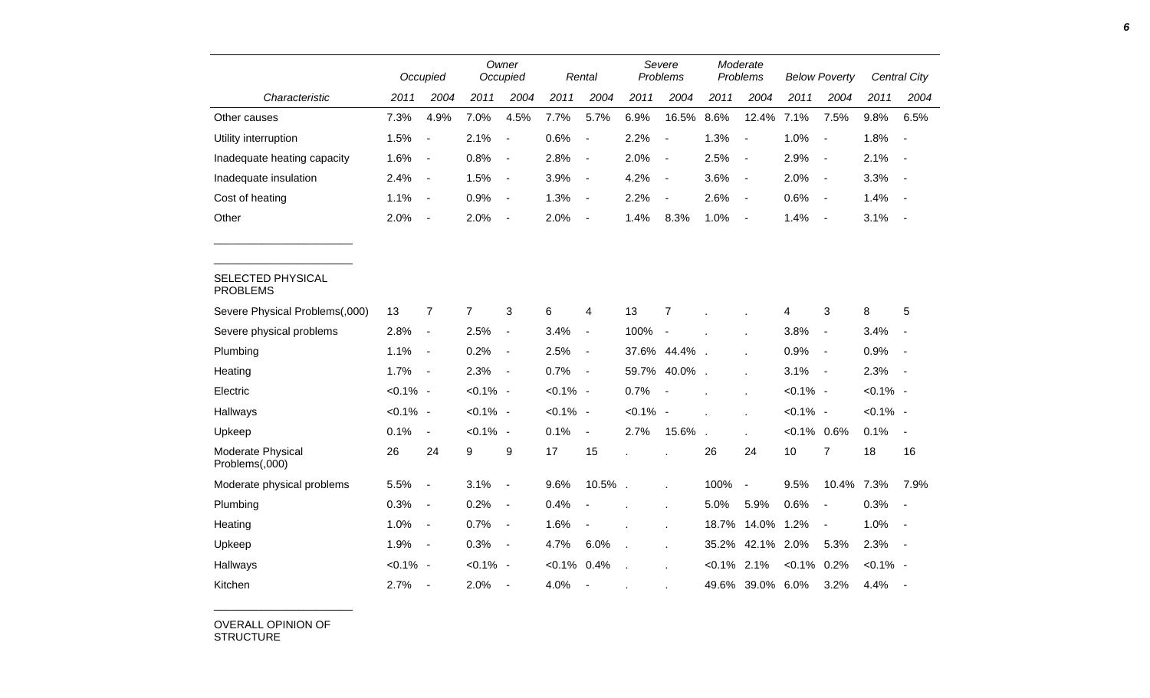|                                      |             | Occupied                     |                | Owner<br>Occupied        |             | Rental                   |                | Severe<br>Problems       |           | Moderate<br>Problems     |                | <b>Below Poverty</b>     |             | <b>Central City</b> |
|--------------------------------------|-------------|------------------------------|----------------|--------------------------|-------------|--------------------------|----------------|--------------------------|-----------|--------------------------|----------------|--------------------------|-------------|---------------------|
| Characteristic                       | 2011        | 2004                         | 2011           | 2004                     | 2011        | 2004                     | 2011           | 2004                     | 2011      | 2004                     | 2011           | 2004                     | 2011        | 2004                |
| Other causes                         | 7.3%        | 4.9%                         | 7.0%           | 4.5%                     | 7.7%        | 5.7%                     | 6.9%           | 16.5%                    | 8.6%      | 12.4%                    | 7.1%           | 7.5%                     | 9.8%        | 6.5%                |
| Utility interruption                 | 1.5%        | $\qquad \qquad \blacksquare$ | 2.1%           | $\blacksquare$           | 0.6%        | $\blacksquare$           | 2.2%           | $\overline{\phantom{a}}$ | 1.3%      | $\overline{\phantom{a}}$ | 1.0%           | $\overline{\phantom{a}}$ | 1.8%        | $\sim$              |
| Inadequate heating capacity          | 1.6%        | $\blacksquare$               | 0.8%           | $\overline{\phantom{a}}$ | 2.8%        | $\overline{\phantom{a}}$ | 2.0%           | $\overline{\phantom{a}}$ | 2.5%      | $\overline{\phantom{a}}$ | 2.9%           | $\blacksquare$           | 2.1%        | $\blacksquare$      |
| Inadequate insulation                | 2.4%        | $\blacksquare$               | 1.5%           | $\blacksquare$           | 3.9%        | $\blacksquare$           | 4.2%           | $\overline{\phantom{a}}$ | 3.6%      | $\overline{\phantom{a}}$ | 2.0%           | $\blacksquare$           | 3.3%        |                     |
| Cost of heating                      | 1.1%        | $\blacksquare$               | 0.9%           | $\blacksquare$           | 1.3%        | $\overline{\phantom{a}}$ | 2.2%           | $\blacksquare$           | 2.6%      | $\overline{\phantom{a}}$ | 0.6%           | $\overline{\phantom{a}}$ | 1.4%        | $\sim$              |
| Other                                | 2.0%        | $\qquad \qquad \blacksquare$ | 2.0%           | $\overline{\phantom{a}}$ | 2.0%        | $\blacksquare$           | 1.4%           | 8.3%                     | 1.0%      | $\overline{\phantom{a}}$ | 1.4%           | $\overline{\phantom{a}}$ | 3.1%        | $\sim$              |
|                                      |             |                              |                |                          |             |                          |                |                          |           |                          |                |                          |             |                     |
| SELECTED PHYSICAL<br><b>PROBLEMS</b> |             |                              |                |                          |             |                          |                |                          |           |                          |                |                          |             |                     |
| Severe Physical Problems(,000)       | 13          | $\overline{7}$               | $\overline{7}$ | 3                        | 6           | 4                        | 13             | $\overline{7}$           |           |                          | 4              | 3                        | 8           | 5                   |
| Severe physical problems             | 2.8%        | $\blacksquare$               | 2.5%           | $\overline{\phantom{a}}$ | 3.4%        | $\blacksquare$           | 100%           | $\sim$                   |           |                          | 3.8%           | $\blacksquare$           | 3.4%        |                     |
| Plumbing                             | 1.1%        | $\blacksquare$               | 0.2%           | $\overline{\phantom{a}}$ | 2.5%        | $\overline{\phantom{a}}$ |                | 37.6% 44.4%              |           |                          | 0.9%           | $\overline{\phantom{a}}$ | 0.9%        |                     |
| Heating                              | 1.7%        | $\blacksquare$               | 2.3%           | $\blacksquare$           | 0.7%        | $\overline{\phantom{a}}$ | 59.7%          | 40.0%                    |           | $\lambda$                | 3.1%           | $\blacksquare$           | 2.3%        | $\sim$              |
| Electric                             | $< 0.1\%$ - |                              | $< 0.1\%$ -    |                          | $< 0.1\%$ - |                          | 0.7%           |                          |           |                          | $< 0.1\%$ -    |                          | $< 0.1\%$ - |                     |
| Hallways                             | $< 0.1\%$ - |                              | $< 0.1\%$ -    |                          | $< 0.1\%$ - |                          | $< 0.1\%$ -    |                          |           |                          | $< 0.1\%$ -    |                          | $< 0.1\%$ - |                     |
| Upkeep                               | 0.1%        | $\overline{\phantom{a}}$     | $< 0.1\%$ -    |                          | 0.1%        | $\blacksquare$           | 2.7%           | 15.6%                    |           | ×                        | $< 0.1\%$ 0.6% |                          | 0.1%        | $\blacksquare$      |
| Moderate Physical<br>Problems(,000)  | 26          | 24                           | 9              | 9                        | 17          | 15                       |                |                          | 26        | 24                       | 10             | $\overline{7}$           | 18          | 16                  |
| Moderate physical problems           | 5.5%        | $\overline{a}$               | 3.1%           | $\blacksquare$           | 9.6%        | 10.5%.                   |                |                          | 100%      | $\blacksquare$           | 9.5%           | 10.4%                    | 7.3%        | 7.9%                |
| Plumbing                             | 0.3%        | $\overline{\phantom{a}}$     | 0.2%           | $\overline{\phantom{a}}$ | 0.4%        |                          |                |                          | 5.0%      | 5.9%                     | 0.6%           | $\blacksquare$           | 0.3%        | $\blacksquare$      |
| Heating                              | 1.0%        | $\blacksquare$               | 0.7%           | $\blacksquare$           | 1.6%        |                          |                |                          | 18.7%     | 14.0%                    | 1.2%           | $\blacksquare$           | 1.0%        | $\sim$              |
| Upkeep                               | 1.9%        | $\blacksquare$               | 0.3%           | $\overline{\phantom{a}}$ | 4.7%        | 6.0%                     | $\overline{a}$ | $\ddot{\phantom{a}}$     | 35.2%     | 42.1% 2.0%               |                | 5.3%                     | 2.3%        | $\sim$              |
| Hallways                             | $< 0.1\%$ - |                              | $< 0.1\%$ -    |                          | $< 0.1\%$   | 0.4%                     |                |                          | $< 0.1\%$ | 2.1%                     | $< 0.1\%$      | 0.2%                     | $< 0.1\%$ - |                     |
| Kitchen                              | 2.7%        | $\overline{\phantom{a}}$     | 2.0%           | $\blacksquare$           | 4.0%        | $\overline{\phantom{a}}$ |                |                          | 49.6%     | 39.0% 6.0%               |                | 3.2%                     | 4.4%        |                     |

OVERALL OPINION OF STRUCTURE

\_\_\_\_\_\_\_\_\_\_\_\_\_\_\_\_\_\_\_\_\_\_\_